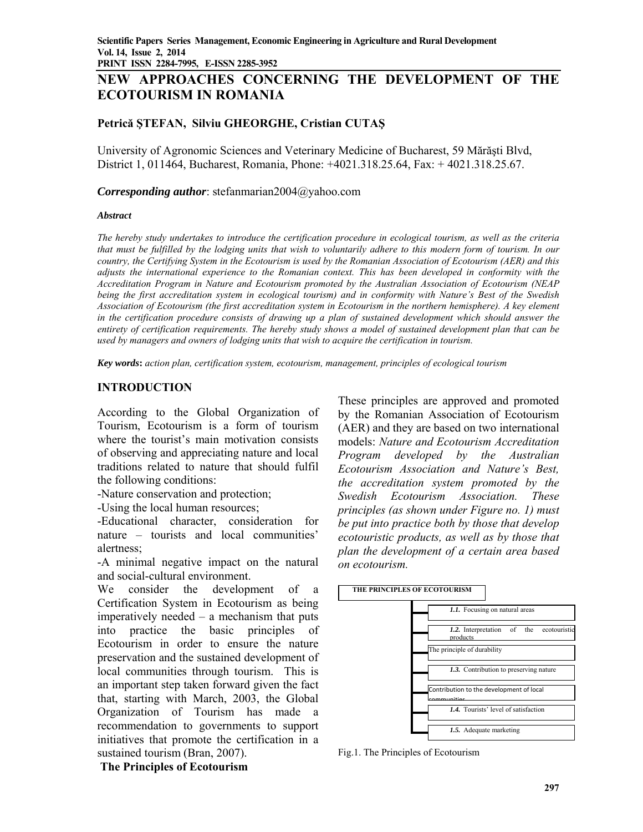# **NEW APPROACHES CONCERNING THE DEVELOPMENT OF THE ECOTOURISM IN ROMANIA**

# **Petrică ŞTEFAN, Silviu GHEORGHE, Cristian CUTAŞ**

University of Agronomic Sciences and Veterinary Medicine of Bucharest, 59 Mărăşti Blvd, District 1, 011464, Bucharest, Romania, Phone: +4021.318.25.64, Fax: + 4021.318.25.67.

#### *Corresponding author*: stefanmarian2004@yahoo.com

#### *Abstract*

*The hereby study undertakes to introduce the certification procedure in ecological tourism, as well as the criteria that must be fulfilled by the lodging units that wish to voluntarily adhere to this modern form of tourism. In our country, the Certifying System in the Ecotourism is used by the Romanian Association of Ecotourism (AER) and this adjusts the international experience to the Romanian context. This has been developed in conformity with the Accreditation Program in Nature and Ecotourism promoted by the Australian Association of Ecotourism (NEAP being the first accreditation system in ecological tourism) and in conformity with Nature's Best of the Swedish Association of Ecotourism (the first accreditation system in Ecotourism in the northern hemisphere). A key element*  in the certification procedure consists of drawing up a plan of sustained development which should answer the *entirety of certification requirements. The hereby study shows a model of sustained development plan that can be used by managers and owners of lodging units that wish to acquire the certification in tourism.* 

*Key words***:** *action plan, certification system, ecotourism, management, principles of ecological tourism* 

### **INTRODUCTION**

According to the Global Organization of Tourism, Ecotourism is a form of tourism where the tourist's main motivation consists of observing and appreciating nature and local traditions related to nature that should fulfil the following conditions:

-Nature conservation and protection;

-Using the local human resources;

-Educational character, consideration for nature – tourists and local communities' alertness;

-A minimal negative impact on the natural and social-cultural environment.

We consider the development of a Certification System in Ecotourism as being imperatively needed – a mechanism that puts into practice the basic principles of Ecotourism in order to ensure the nature preservation and the sustained development of local communities through tourism. This is an important step taken forward given the fact that, starting with March, 2003, the Global Organization of Tourism has made a recommendation to governments to support initiatives that promote the certification in a sustained tourism (Bran, 2007).

These principles are approved and promoted by the Romanian Association of Ecotourism (AER) and they are based on two international models: *Nature and Ecotourism Accreditation Program developed by the Australian Ecotourism Association and Nature's Best, the accreditation system promoted by the Swedish Ecotourism Association. These principles (as shown under Figure no. 1) must be put into practice both by those that develop ecotouristic products, as well as by those that plan the development of a certain area based on ecotourism.* 



Fig.1. The Principles of Ecotourism

### **The Principles of Ecotourism**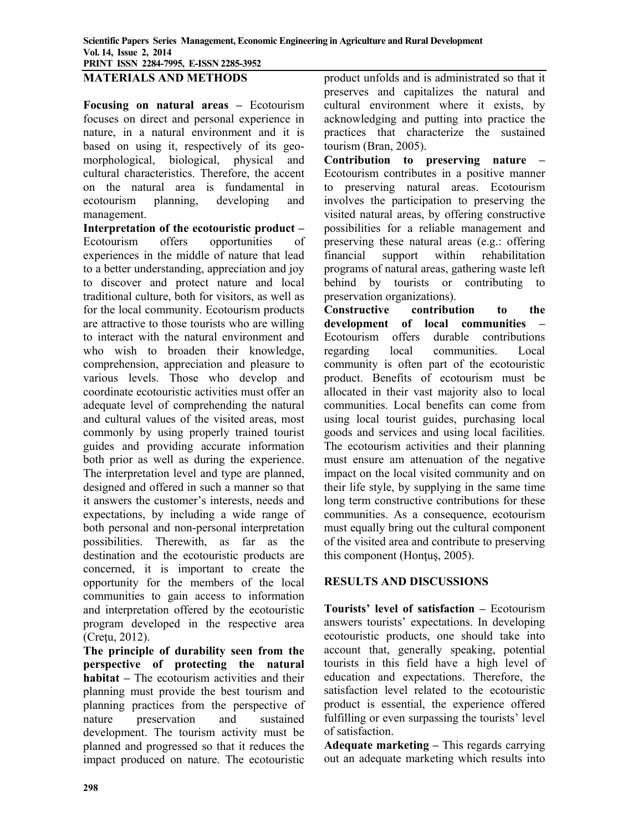### **MATERIALS AND METHODS**

**Focusing on natural areas –** Ecotourism focuses on direct and personal experience in nature, in a natural environment and it is based on using it, respectively of its geomorphological, biological, physical and cultural characteristics. Therefore, the accent on the natural area is fundamental in ecotourism planning, developing and management.

**Interpretation of the ecotouristic product –**  Ecotourism offers opportunities of experiences in the middle of nature that lead to a better understanding, appreciation and joy to discover and protect nature and local traditional culture, both for visitors, as well as for the local community. Ecotourism products are attractive to those tourists who are willing to interact with the natural environment and who wish to broaden their knowledge, comprehension, appreciation and pleasure to various levels. Those who develop and coordinate ecotouristic activities must offer an adequate level of comprehending the natural and cultural values of the visited areas, most commonly by using properly trained tourist guides and providing accurate information both prior as well as during the experience. The interpretation level and type are planned, designed and offered in such a manner so that it answers the customer's interests, needs and expectations, by including a wide range of both personal and non-personal interpretation possibilities. Therewith, as far as the destination and the ecotouristic products are concerned, it is important to create the opportunity for the members of the local communities to gain access to information and interpretation offered by the ecotouristic program developed in the respective area (Cretu, 2012).

**The principle of durability seen from the perspective of protecting the natural habitat –** The ecotourism activities and their planning must provide the best tourism and planning practices from the perspective of nature preservation and sustained development. The tourism activity must be planned and progressed so that it reduces the impact produced on nature. The ecotouristic

product unfolds and is administrated so that it preserves and capitalizes the natural and cultural environment where it exists, by acknowledging and putting into practice the practices that characterize the sustained tourism (Bran, 2005).

**Contribution to preserving nature –**  Ecotourism contributes in a positive manner to preserving natural areas. Ecotourism involves the participation to preserving the visited natural areas, by offering constructive possibilities for a reliable management and preserving these natural areas (e.g.: offering financial support within rehabilitation programs of natural areas, gathering waste left behind by tourists or contributing to preservation organizations).

**Constructive contribution to the development of local communities –**  Ecotourism offers durable contributions regarding local communities. Local community is often part of the ecotouristic product. Benefits of ecotourism must be allocated in their vast majority also to local communities. Local benefits can come from using local tourist guides, purchasing local goods and services and using local facilities. The ecotourism activities and their planning must ensure am attenuation of the negative impact on the local visited community and on their life style, by supplying in the same time long term constructive contributions for these communities. As a consequence, ecotourism must equally bring out the cultural component of the visited area and contribute to preserving this component (Hontus, 2005).

### **RESULTS AND DISCUSSIONS**

**Tourists' level of satisfaction –** Ecotourism answers tourists' expectations. In developing ecotouristic products, one should take into account that, generally speaking, potential tourists in this field have a high level of education and expectations. Therefore, the satisfaction level related to the ecotouristic product is essential, the experience offered fulfilling or even surpassing the tourists' level of satisfaction.

**Adequate marketing –** This regards carrying out an adequate marketing which results into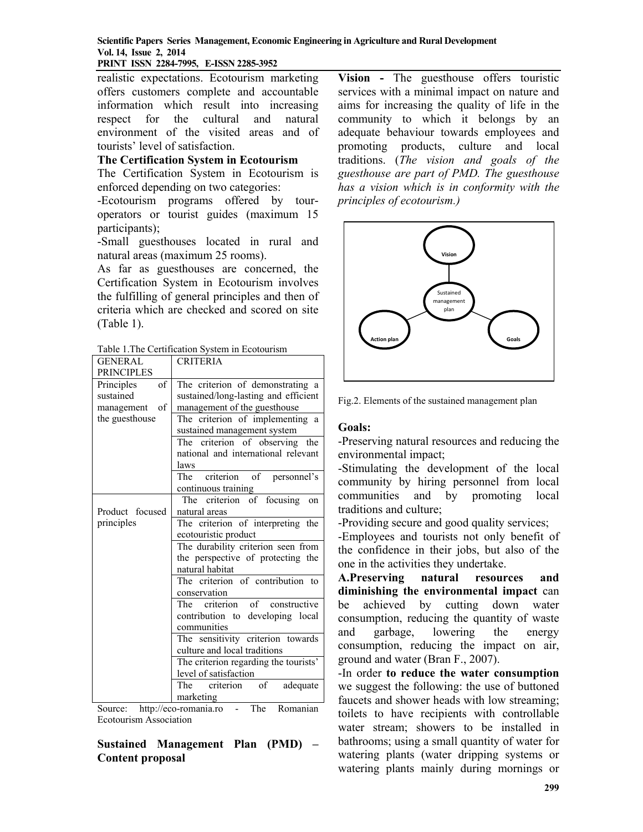#### **Scientific Papers Series Management, Economic Engineering in Agriculture and Rural Development Vol. 14, Issue 2, 2014 PRINT ISSN 2284-7995, E-ISSN 2285-3952**

realistic expectations. Ecotourism marketing offers customers complete and accountable information which result into increasing respect for the cultural and natural environment of the visited areas and of tourists' level of satisfaction.

### **The Certification System in Ecotourism**

The Certification System in Ecotourism is enforced depending on two categories:

-Ecotourism programs offered by touroperators or tourist guides (maximum 15 participants);

-Small guesthouses located in rural and natural areas (maximum 25 rooms).

As far as guesthouses are concerned, the Certification System in Ecotourism involves the fulfilling of general principles and then of criteria which are checked and scored on site (Table 1).

Table 1.The Certification System in Ecotourism

| GENERAL           | <b>CRITERIA</b>                       |
|-------------------|---------------------------------------|
| <b>PRINCIPLES</b> |                                       |
| of<br>Principles  | The criterion of demonstrating a      |
| sustained         | sustained/long-lasting and efficient  |
| of<br>management  | management of the guesthouse          |
| the guesthouse    | The criterion of implementing a       |
|                   | sustained management system           |
|                   | The criterion of observing the        |
|                   | national and international relevant   |
|                   | laws                                  |
|                   | The criterion of personnel's          |
|                   | continuous training                   |
|                   | The criterion of focusing<br>on       |
| Product focused   | natural areas                         |
| principles        | The criterion of interpreting the     |
|                   | ecotouristic product                  |
|                   | The durability criterion seen from    |
|                   | the perspective of protecting the     |
|                   | natural habitat                       |
|                   | The criterion of contribution to      |
|                   | conservation                          |
|                   | The criterion of constructive         |
|                   | contribution to developing local      |
|                   | communities                           |
|                   | The sensitivity criterion towards     |
|                   | culture and local traditions          |
|                   | The criterion regarding the tourists' |
|                   | level of satisfaction                 |
|                   | The criterion of<br>adequate          |
|                   | marketing                             |

Source: http://eco-romania.ro - The Romanian Ecotourism Association

# **Sustained Management Plan (PMD) – Content proposal**

**Vision -** The guesthouse offers touristic services with a minimal impact on nature and aims for increasing the quality of life in the community to which it belongs by an adequate behaviour towards employees and promoting products, culture and local traditions. (*The vision and goals of the guesthouse are part of PMD. The guesthouse has a vision which is in conformity with the principles of ecotourism.)* 



Fig.2. Elements of the sustained management plan

# **Goals:**

-Preserving natural resources and reducing the environmental impact;

-Stimulating the development of the local community by hiring personnel from local communities and by promoting local traditions and culture;

-Providing secure and good quality services;

-Employees and tourists not only benefit of the confidence in their jobs, but also of the one in the activities they undertake.

**A.Preserving natural resources and diminishing the environmental impact** can be achieved by cutting down water consumption, reducing the quantity of waste and garbage, lowering the energy consumption, reducing the impact on air, ground and water (Bran F., 2007).

-In order **to reduce the water consumption**  we suggest the following: the use of buttoned faucets and shower heads with low streaming; toilets to have recipients with controllable water stream; showers to be installed in bathrooms; using a small quantity of water for watering plants (water dripping systems or watering plants mainly during mornings or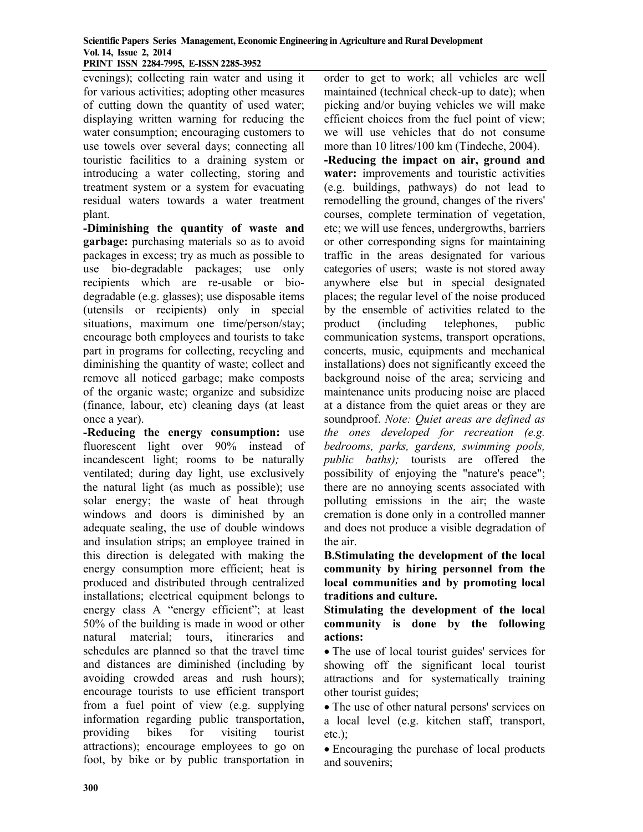#### **Scientific Papers Series Management, Economic Engineering in Agriculture and Rural Development Vol. 14, Issue 2, 2014 PRINT ISSN 2284-7995, E-ISSN 2285-3952**

evenings); collecting rain water and using it for various activities; adopting other measures of cutting down the quantity of used water; displaying written warning for reducing the water consumption; encouraging customers to use towels over several days; connecting all touristic facilities to a draining system or introducing a water collecting, storing and treatment system or a system for evacuating residual waters towards a water treatment plant.

**-Diminishing the quantity of waste and garbage:** purchasing materials so as to avoid packages in excess; try as much as possible to use bio-degradable packages; use only recipients which are re-usable or biodegradable (e.g. glasses); use disposable items (utensils or recipients) only in special situations, maximum one time/person/stay; encourage both employees and tourists to take part in programs for collecting, recycling and diminishing the quantity of waste; collect and remove all noticed garbage; make composts of the organic waste; organize and subsidize (finance, labour, etc) cleaning days (at least once a year).

**-Reducing the energy consumption:** use fluorescent light over 90% instead of incandescent light; rooms to be naturally ventilated; during day light, use exclusively the natural light (as much as possible); use solar energy; the waste of heat through windows and doors is diminished by an adequate sealing, the use of double windows and insulation strips; an employee trained in this direction is delegated with making the energy consumption more efficient; heat is produced and distributed through centralized installations; electrical equipment belongs to energy class A "energy efficient"; at least 50% of the building is made in wood or other natural material; tours, itineraries and schedules are planned so that the travel time and distances are diminished (including by avoiding crowded areas and rush hours); encourage tourists to use efficient transport from a fuel point of view (e.g. supplying information regarding public transportation, providing bikes for visiting tourist attractions); encourage employees to go on foot, by bike or by public transportation in

order to get to work; all vehicles are well maintained (technical check-up to date); when picking and/or buying vehicles we will make efficient choices from the fuel point of view; we will use vehicles that do not consume more than 10 litres/100 km (Tindeche, 2004).

**-Reducing the impact on air, ground and water:** improvements and touristic activities (e.g. buildings, pathways) do not lead to remodelling the ground, changes of the rivers' courses, complete termination of vegetation, etc; we will use fences, undergrowths, barriers or other corresponding signs for maintaining traffic in the areas designated for various categories of users; waste is not stored away anywhere else but in special designated places; the regular level of the noise produced by the ensemble of activities related to the product (including telephones, public communication systems, transport operations, concerts, music, equipments and mechanical installations) does not significantly exceed the background noise of the area; servicing and maintenance units producing noise are placed at a distance from the quiet areas or they are soundproof. *Note: Quiet areas are defined as the ones developed for recreation (e.g. bedrooms, parks, gardens, swimming pools, public baths);* tourists are offered the possibility of enjoying the "nature's peace"; there are no annoying scents associated with polluting emissions in the air; the waste cremation is done only in a controlled manner and does not produce a visible degradation of the air.

**B.Stimulating the development of the local community by hiring personnel from the local communities and by promoting local traditions and culture.** 

**Stimulating the development of the local community is done by the following actions:** 

 The use of local tourist guides' services for showing off the significant local tourist attractions and for systematically training other tourist guides;

• The use of other natural persons' services on a local level (e.g. kitchen staff, transport,  $etc.$ );

 Encouraging the purchase of local products and souvenirs;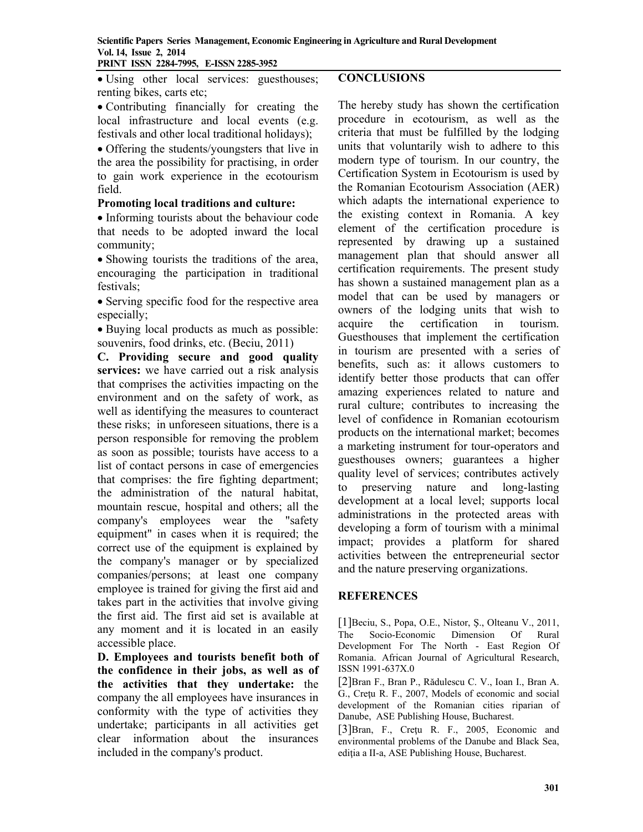Using other local services: guesthouses; renting bikes, carts etc;

 Contributing financially for creating the local infrastructure and local events (e.g. festivals and other local traditional holidays);

• Offering the students/youngsters that live in the area the possibility for practising, in order to gain work experience in the ecotourism field.

### **Promoting local traditions and culture:**

• Informing tourists about the behaviour code that needs to be adopted inward the local community;

• Showing tourists the traditions of the area, encouraging the participation in traditional festivals;

• Serving specific food for the respective area especially;

• Buying local products as much as possible: souvenirs, food drinks, etc. (Beciu, 2011)

**C. Providing secure and good quality services:** we have carried out a risk analysis that comprises the activities impacting on the environment and on the safety of work, as well as identifying the measures to counteract these risks; in unforeseen situations, there is a person responsible for removing the problem as soon as possible; tourists have access to a list of contact persons in case of emergencies that comprises: the fire fighting department; the administration of the natural habitat, mountain rescue, hospital and others; all the company's employees wear the "safety equipment" in cases when it is required; the correct use of the equipment is explained by the company's manager or by specialized companies/persons; at least one company employee is trained for giving the first aid and takes part in the activities that involve giving the first aid. The first aid set is available at any moment and it is located in an easily accessible place.

**D. Employees and tourists benefit both of the confidence in their jobs, as well as of the activities that they undertake:** the company the all employees have insurances in conformity with the type of activities they undertake; participants in all activities get clear information about the insurances included in the company's product.

# **CONCLUSIONS**

The hereby study has shown the certification procedure in ecotourism, as well as the criteria that must be fulfilled by the lodging units that voluntarily wish to adhere to this modern type of tourism. In our country, the Certification System in Ecotourism is used by the Romanian Ecotourism Association (AER) which adapts the international experience to the existing context in Romania. A key element of the certification procedure is represented by drawing up a sustained management plan that should answer all certification requirements. The present study has shown a sustained management plan as a model that can be used by managers or owners of the lodging units that wish to acquire the certification in tourism. Guesthouses that implement the certification in tourism are presented with a series of benefits, such as: it allows customers to identify better those products that can offer amazing experiences related to nature and rural culture; contributes to increasing the level of confidence in Romanian ecotourism products on the international market; becomes a marketing instrument for tour-operators and guesthouses owners; guarantees a higher quality level of services; contributes actively to preserving nature and long-lasting development at a local level; supports local administrations in the protected areas with developing a form of tourism with a minimal impact; provides a platform for shared activities between the entrepreneurial sector and the nature preserving organizations.

# **REFERENCES**

[1]Beciu, S., Popa, O.E., Nistor, Ş., Olteanu V., 2011, The Socio-Economic Dimension Of Rural Development For The North - East Region Of Romania. African Journal of Agricultural Research, ISSN 1991-637X.0

[2]Bran F., Bran P., Rădulescu C. V., Ioan I., Bran A. G., Creţu R. F., 2007, Models of economic and social development of the Romanian cities riparian of Danube, ASE Publishing House, Bucharest.

[3]Bran, F., Cretu R. F., 2005, Economic and environmental problems of the Danube and Black Sea, ediția a II-a, ASE Publishing House, Bucharest.